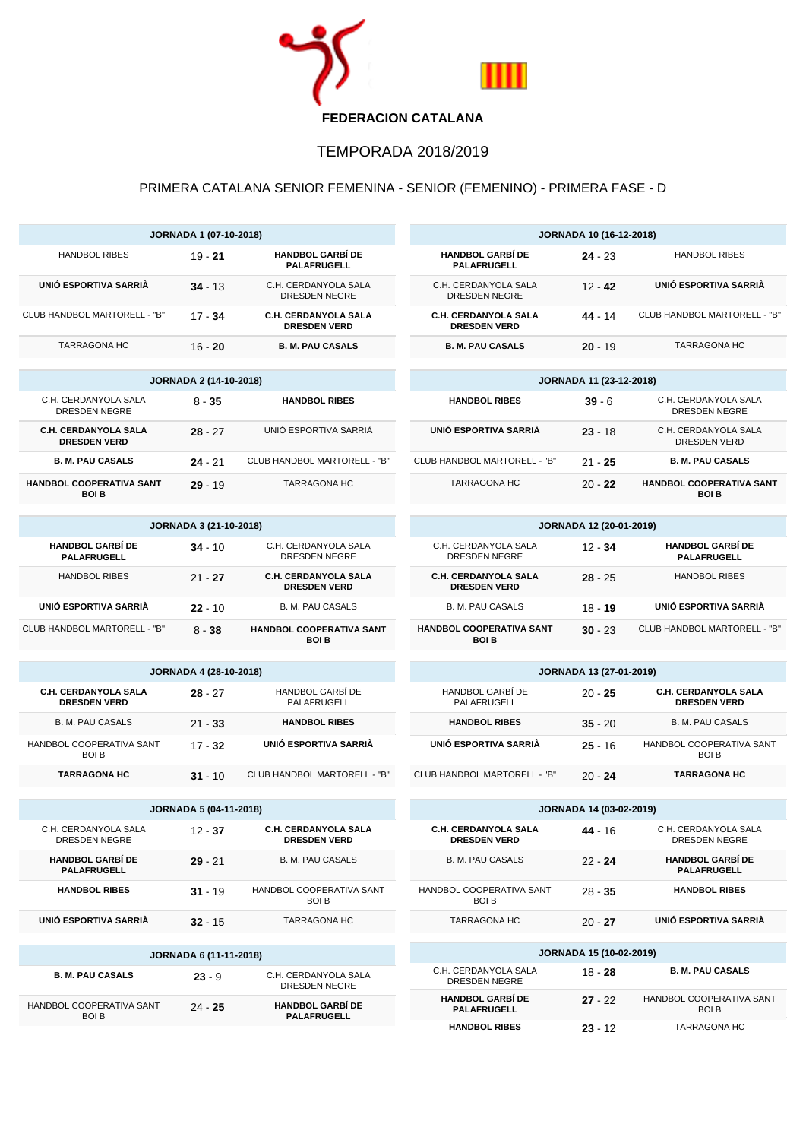

## TEMPORADA 2018/2019

## PRIMERA CATALANA SENIOR FEMENINA - SENIOR (FEMENINO) - PRIMERA FASE - D

|                                                    | <b>JORNADA 1 (07-10-2018)</b> |                                                    |                                      |
|----------------------------------------------------|-------------------------------|----------------------------------------------------|--------------------------------------|
| <b>HANDBOL RIBES</b>                               | $19 - 21$                     | <b>HANDBOL GARBÍ DE</b><br><b>PALAFRUGELL</b>      | <b>HANDBOL 0</b><br><b>PALAFRI</b>   |
| UNIÓ ESPORTIVA SARRIÀ                              | $34 - 13$                     | C.H. CERDANYOLA SALA<br><b>DRESDEN NEGRE</b>       | C.H. CERDAN<br><b>DRESDEN</b>        |
| CLUB HANDBOL MARTORELL - "B"                       | $17 - 34$                     | <b>C.H. CERDANYOLA SALA</b><br><b>DRESDEN VERD</b> | C.H. CERDAN'<br><b>DRESDEN</b>       |
| <b>TARRAGONA HC</b>                                | $16 - 20$                     | <b>B. M. PAU CASALS</b>                            | <b>B. M. PAU</b>                     |
|                                                    |                               |                                                    |                                      |
|                                                    | <b>JORNADA 2 (14-10-2018)</b> |                                                    |                                      |
| C.H. CERDANYOLA SALA<br><b>DRESDEN NEGRE</b>       | $8 - 35$                      | <b>HANDBOL RIBES</b>                               | <b>HANDBOL</b>                       |
| C.H. CERDANYOLA SALA<br><b>DRESDEN VERD</b>        | $28 - 27$                     | UNIÓ ESPORTIVA SARRIÀ                              | UNIÓ ESPORT                          |
| <b>B. M. PAU CASALS</b>                            | $24 - 21$                     | CLUB HANDBOL MARTORELL - "B"                       | CLUB HANDBOL M                       |
| HANDBOL COOPERATIVA SANT<br><b>BOI B</b>           | $29 - 19$                     | <b>TARRAGONA HC</b>                                | <b>TARRAGO</b>                       |
|                                                    | <b>JORNADA 3 (21-10-2018)</b> |                                                    |                                      |
| <b>HANDBOL GARBÍ DE</b><br><b>PALAFRUGELL</b>      | $34 - 10$                     | C.H. CERDANYOLA SALA<br>DRESDEN NEGRE              | C.H. CERDAN<br><b>DRESDEN</b>        |
| <b>HANDBOL RIBES</b>                               | $21 - 27$                     | C.H. CERDANYOLA SALA<br><b>DRESDEN VERD</b>        | C.H. CERDAN'<br><b>DRESDEN</b>       |
| UNIÓ ESPORTIVA SARRIÀ                              | $22 - 10$                     | <b>B. M. PAU CASALS</b>                            | B. M. PAU                            |
| CLUB HANDBOL MARTORELL - "B"                       | $8 - 38$                      | HANDBOL COOPERATIVA SANT<br>BOI B                  | <b>HANDBOL COOPI</b><br><b>BOI</b>   |
|                                                    |                               |                                                    |                                      |
|                                                    | <b>JORNADA 4 (28-10-2018)</b> |                                                    |                                      |
| <b>C.H. CERDANYOLA SALA</b><br><b>DRESDEN VERD</b> | 28 - 27                       | HANDBOL GARBÍ DE<br>PALAFRUGELL                    | <b>HANDBOL G</b><br>PALAFRI          |
| <b>B. M. PAU CASALS</b>                            | $21 - 33$                     | <b>HANDBOL RIBES</b>                               | <b>HANDBOL</b>                       |
| HANDBOL COOPERATIVA SANT<br><b>BOI B</b>           | $17 - 32$                     | UNIÓ ESPORTIVA SARRIÀ                              | UNIÓ ESPORT                          |
| <b>TARRAGONA HC</b>                                | $31 - 10$                     | CLUB HANDBOL MARTORELL - "B"                       | <b>CLUB HANDBOL M</b>                |
|                                                    | <b>JORNADA 5 (04-11-2018)</b> |                                                    |                                      |
| C.H. CERDANYOLA SALA<br>DRESDEN NEGRE              | $12 - 37$                     | C.H. CERDANYOLA SALA<br><b>DRESDEN VERD</b>        | <b>C.H. CERDAN</b><br><b>DRESDEN</b> |
| <b>HANDBOL GARBÍ DE</b><br>PALAFRUGELL             | $29 - 21$                     | <b>B. M. PAU CASALS</b>                            | B. M. PAU                            |
| <b>HANDBOL RIBES</b>                               | $31 - 19$                     | HANDBOL COOPERATIVA SANT<br><b>BOI B</b>           | <b>HANDBOL COOPI</b><br><b>BOI</b>   |
| UNIÓ ESPORTIVA SARRIÀ                              | $32 - 15$                     | <b>TARRAGONA HC</b>                                | <b>TARRAGO</b>                       |
|                                                    |                               |                                                    |                                      |
|                                                    | JORNADA 6 (11-11-2018)        |                                                    |                                      |
| <b>B. M. PAU CASALS</b>                            | $23 - 9$                      | C.H. CERDANYOLA SALA<br>DRESDEN NEGRE              | C.H. CERDAN<br><b>DRESDEN</b>        |
| HANDBOL COOPERATIVA SANT<br><b>BOIB</b>            | $24 - 25$                     | <b>HANDBOL GARBÍ DE</b><br>PALAFRUGELL             | <b>HANDBOL (</b><br>PALAFRI          |

| <b>JORNADA 10 (16-12-2018)</b>                     |           |                              |  |  |
|----------------------------------------------------|-----------|------------------------------|--|--|
| <b>HANDBOL GARBÍ DE</b><br><b>PALAFRUGELL</b>      | $24 - 23$ | HANDROL RIBES                |  |  |
| C.H. CERDANYOLA SALA<br>DRESDEN NEGRE              | $12 - 42$ | UNIÓ ESPORTIVA SARRIÀ        |  |  |
| <b>C.H. CERDANYOLA SALA</b><br><b>DRESDEN VERD</b> | 44 - 14   | CLUB HANDBOL MARTORELL - "B" |  |  |
| <b>B. M. PAU CASALS</b>                            | $20 - 19$ | <b>TARRAGONA HC</b>          |  |  |

| <b>JORNADA 11 (23-12-2018)</b> |           |                                                |  |
|--------------------------------|-----------|------------------------------------------------|--|
| <b>HANDBOL RIBES</b>           | $39 - 6$  | C.H. CERDANYOLA SALA<br>DRESDEN NEGRE          |  |
| UNIÓ ESPORTIVA SARRIÀ          | $23 - 18$ | C.H. CERDANYOLA SALA<br>DRESDEN VERD           |  |
| CLUB HANDBOL MARTORELL - "B"   | $21 - 25$ | <b>B. M. PAU CASALS</b>                        |  |
| <b>TARRAGONA HC</b>            | $20 - 22$ | <b>HANDBOL COOPERATIVA SANT</b><br><b>BOLB</b> |  |

| <b>JORNADA 12 (20-01-2019)</b>                |           |                                                    |  |  |
|-----------------------------------------------|-----------|----------------------------------------------------|--|--|
| <b>HANDBOL GARBÍ DE</b><br><b>PALAFRUGELL</b> | $12 - 34$ | C.H. CERDANYOLA SALA<br>DRESDEN NEGRE              |  |  |
| <b>HANDBOL RIBES</b>                          | $28 - 25$ | <b>C.H. CERDANYOLA SALA</b><br><b>DRESDEN VERD</b> |  |  |
| UNIÓ ESPORTIVA SARRIÀ                         | $18 - 19$ | <b>B. M. PAU CASALS</b>                            |  |  |
| CLUB HANDBOL MARTORELL - "B"                  | $30 - 23$ | <b>HANDBOL COOPERATIVA SANT</b><br>BOI B           |  |  |

| <b>JORNADA 13 (27-01-2019)</b>  |           |                                                    |  |
|---------------------------------|-----------|----------------------------------------------------|--|
| HANDBOL GARBÍ DE<br>PALAFRUGELL | $20 - 25$ | <b>C.H. CERDANYOLA SALA</b><br><b>DRESDEN VERD</b> |  |
| <b>HANDBOL RIBES</b>            | $35 - 20$ | <b>B. M. PAU CASALS</b>                            |  |
| UNIÓ ESPORTIVA SARRIÀ           | $25 - 16$ | HANDBOL COOPERATIVA SANT<br><b>BOI B</b>           |  |
| CLUB HANDBOL MARTORELL - "B"    | 20 - 24   | <b>TARRAGONA HC</b>                                |  |

| <b>JORNADA 14 (03-02-2019)</b>              |           |                                               |  |  |
|---------------------------------------------|-----------|-----------------------------------------------|--|--|
| C.H. CERDANYOLA SALA<br><b>DRESDEN VERD</b> | $44 - 16$ | C.H. CERDANYOLA SALA<br>DRESDEN NEGRE         |  |  |
| <b>B. M. PAU CASALS</b>                     | $22 - 24$ | <b>HANDBOL GARBÍ DE</b><br><b>PALAFRUGELL</b> |  |  |
| HANDBOL COOPERATIVA SANT<br><b>BOLB</b>     | $28 - 35$ | <b>HANDBOL RIBES</b>                          |  |  |
| <b>TARRAGONA HC</b>                         | $20 - 27$ | UNIÓ ESPORTIVA SARRIÀ                         |  |  |
|                                             |           |                                               |  |  |
| <b>JORNADA 15 (10-02-2019)</b>              |           |                                               |  |  |

| C.H. CERDANYOLA SALA<br>DRESDEN NEGRE         | $18 - 28$ | <b>B. M. PAU CASALS</b>                 |
|-----------------------------------------------|-----------|-----------------------------------------|
| <b>HANDBOL GARBÍ DE</b><br><b>PALAFRUGELL</b> | $27 - 22$ | HANDBOL COOPERATIVA SANT<br><b>BOLB</b> |
| <b>HANDBOL RIBES</b>                          | $23 - 12$ | <b>TARRAGONA HC</b>                     |